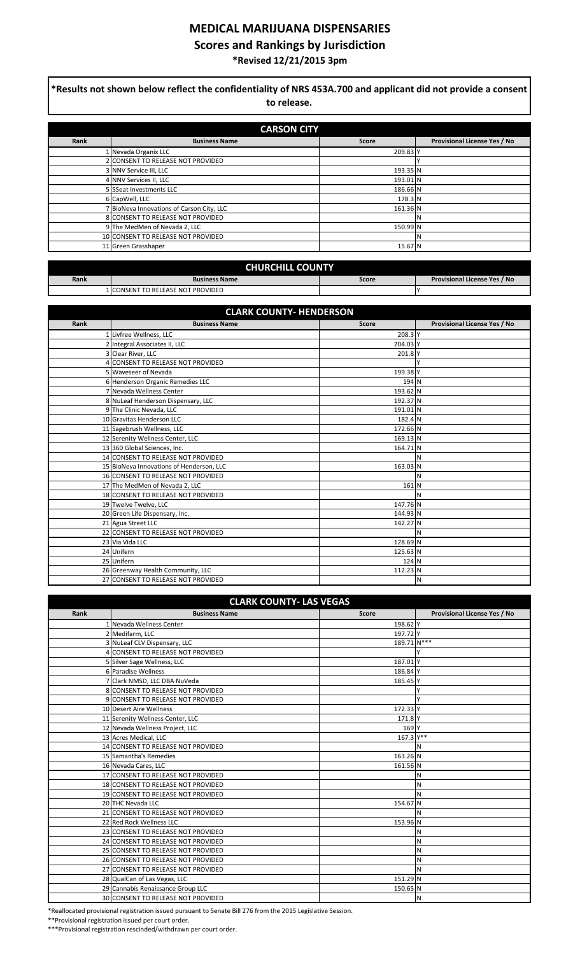## **MEDICAL MARIJUANA DISPENSARIES**

**Scores and Rankings by Jurisdiction**

**\*Revised 12/21/2015 3pm**

| $*$ Results not shown below reflect the confidentiality of NRS 453A.700 and applicant did not provide a consent<br>to release.<br><b>CARSON CITY</b> |                                         |          |    |  |
|------------------------------------------------------------------------------------------------------------------------------------------------------|-----------------------------------------|----------|----|--|
|                                                                                                                                                      |                                         |          |    |  |
|                                                                                                                                                      | Nevada Organix LLC                      | 209.83 Y |    |  |
|                                                                                                                                                      | 2 CONSENT TO RELEASE NOT PROVIDED       |          |    |  |
|                                                                                                                                                      | 3 NNV Service III, LLC                  | 193.35 N |    |  |
|                                                                                                                                                      | 4 NNV Services II, LLC                  | 193.01 N |    |  |
|                                                                                                                                                      | 5 5Seat Investments LLC                 | 186.66 N |    |  |
|                                                                                                                                                      | 6 CapWell, LLC                          | 178.3 N  |    |  |
|                                                                                                                                                      | BioNeva Innovations of Carson City, LLC | 161.36 N |    |  |
|                                                                                                                                                      | 8 CONSENT TO RELEASE NOT PROVIDED       |          |    |  |
|                                                                                                                                                      | 9 The MedMen of Nevada 2, LLC           | 150.99 N |    |  |
|                                                                                                                                                      | 10 CONSENT TO RELEASE NOT PROVIDED      |          | 'N |  |
|                                                                                                                                                      | 11 Green Grasshaper                     | 15.67 N  |    |  |

| <b>CHURCHILL COUNTY</b> |                                    |       |                              |
|-------------------------|------------------------------------|-------|------------------------------|
| Rank                    | <b>Business Name</b>               | Score | Provisional License Yes / No |
|                         | I ICONSENT TO RELEASE NOT PROVIDED |       |                              |

| <b>CLARK COUNTY- HENDERSON</b> |                                          |                    |                              |
|--------------------------------|------------------------------------------|--------------------|------------------------------|
| Rank                           | <b>Business Name</b>                     | <b>Score</b>       | Provisional License Yes / No |
|                                | 1 Livfree Wellness, LLC                  | 208.3 <sup>Y</sup> |                              |
|                                | 2 Integral Associates II, LLC            | 204.03 Y           |                              |
|                                | 3 Clear River, LLC                       | 201.8 Y            |                              |
|                                | <b>CONSENT TO RELEASE NOT PROVIDED</b>   |                    |                              |
|                                | 5 Waveseer of Nevada                     | 199.38 Y           |                              |
|                                | 6 Henderson Organic Remedies LLC         | 194 N              |                              |
|                                | 7 Nevada Wellness Center                 | 193.62 N           |                              |
|                                | 8 NuLeaf Henderson Dispensary, LLC       | 192.37 N           |                              |
|                                | 9 The Clinic Nevada, LLC                 | 191.01 N           |                              |
|                                | 10 Gravitas Henderson LLC                | 182.4 N            |                              |
|                                | 11 Sagebrush Wellness, LLC               | 172.66 N           |                              |
|                                | 12 Serenity Wellness Center, LLC         | 169.13 N           |                              |
|                                | 13 360 Global Sciences, Inc.             | 164.71 N           |                              |
|                                | 14 CONSENT TO RELEASE NOT PROVIDED       |                    | N                            |
|                                | 15 BioNeva Innovations of Henderson, LLC | 163.03 N           |                              |
|                                | 16 CONSENT TO RELEASE NOT PROVIDED       |                    | N                            |
|                                | 17 The MedMen of Nevada 2, LLC           | 161 N              |                              |
|                                | 18 CONSENT TO RELEASE NOT PROVIDED       |                    | N                            |
|                                | 19 Twelve Twelve, LLC                    | 147.76 N           |                              |
|                                | 20 Green Life Dispensary, Inc.           | 144.93 N           |                              |
|                                | 21 Agua Street LLC                       | 142.27 N           |                              |
|                                | 22 CONSENT TO RELEASE NOT PROVIDED       |                    | N                            |
|                                | 23 Via Vida LLC                          | 128.69 N           |                              |
|                                | 24 Unifern                               | 125.63 N           |                              |
|                                | 25 Unifern                               | 124 N              |                              |
|                                | 26 Greenway Health Community, LLC        | 112.23 N           |                              |
|                                | 27 CONSENT TO RELEASE NOT PROVIDED       |                    | N                            |

| <b>CLARK COUNTY- LAS VEGAS</b> |                                    |              |                                     |
|--------------------------------|------------------------------------|--------------|-------------------------------------|
| Rank                           | <b>Business Name</b>               | <b>Score</b> | <b>Provisional License Yes / No</b> |
|                                | 1 Nevada Wellness Center           | 198.62 Y     |                                     |
|                                | 2 Medifarm, LLC                    | 197.72 Y     |                                     |
|                                | 3 NuLeaf CLV Dispensary, LLC       | 189.71 N***  |                                     |
|                                | 4 CONSENT TO RELEASE NOT PROVIDED  |              |                                     |
|                                | 5 Silver Sage Wellness, LLC        | 187.01 Y     |                                     |
|                                | 6 Paradise Wellness                | 186.84 Y     |                                     |
|                                | 7 Clark NMSD, LLC DBA NuVeda       | 185.45 Y     |                                     |
|                                | 8 CONSENT TO RELEASE NOT PROVIDED  |              |                                     |
|                                | 9 CONSENT TO RELEASE NOT PROVIDED  |              |                                     |
|                                | 10 Desert Aire Wellness            | 172.33 Y     |                                     |
|                                | 11 Serenity Wellness Center, LLC   | 171.8 Y      |                                     |
|                                | 12 Nevada Wellness Project, LLC    | 169 Y        |                                     |
|                                | 13 Acres Medical, LLC              | $167.3$ Y**  |                                     |
|                                | 14 CONSENT TO RELEASE NOT PROVIDED |              | N                                   |
|                                | 15 Samantha's Remedies             | 163.26 N     |                                     |
|                                | 16 Nevada Cares, LLC               | 161.56 N     |                                     |
|                                | 17 CONSENT TO RELEASE NOT PROVIDED |              | N                                   |
|                                | 18 CONSENT TO RELEASE NOT PROVIDED |              | Ν                                   |
|                                | 19 CONSENT TO RELEASE NOT PROVIDED |              | N                                   |
|                                | 20 THC Nevada LLC                  | 154.67 N     |                                     |
|                                | 21 CONSENT TO RELEASE NOT PROVIDED |              | N                                   |
|                                | 22 Red Rock Wellness LLC           | 153.96 N     |                                     |
|                                | 23 CONSENT TO RELEASE NOT PROVIDED |              | N                                   |
|                                | 24 CONSENT TO RELEASE NOT PROVIDED |              | N                                   |
|                                | 25 CONSENT TO RELEASE NOT PROVIDED |              | Ν                                   |
|                                | 26 CONSENT TO RELEASE NOT PROVIDED |              | N                                   |
|                                | 27 CONSENT TO RELEASE NOT PROVIDED |              | N                                   |
|                                | 28 QualCan of Las Vegas, LLC       | 151.29 N     |                                     |
|                                | 29 Cannabis Renaissance Group LLC  | 150.65 N     |                                     |
|                                | 30 CONSENT TO RELEASE NOT PROVIDED |              | N                                   |

\*Reallocated provisional registration issued pursuant to Senate Bill 276 from the 2015 Legislative Session.

\*\*Provisional registration issued per court order.

I

\*\*\*Provisional registration rescinded/withdrawn per court order.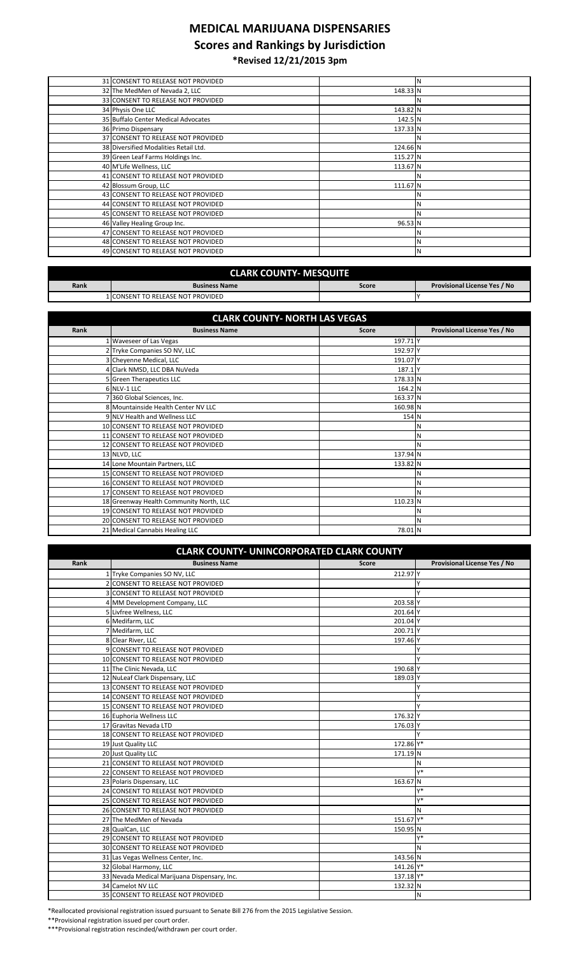## **MEDICAL MARIJUANA DISPENSARIES**

## **Scores and Rankings by Jurisdiction**

**\*Revised 12/21/2015 3pm**

| 31 CONSENT TO RELEASE NOT PROVIDED    |          | N |
|---------------------------------------|----------|---|
| 32 The MedMen of Nevada 2, LLC        | 148.33 N |   |
| 33 CONSENT TO RELEASE NOT PROVIDED    |          |   |
| 34 Physis One LLC                     | 143.82 N |   |
| 35 Buffalo Center Medical Advocates   | 142.5 N  |   |
| 36 Primo Dispensary                   | 137.33 N |   |
| 37 CONSENT TO RELEASE NOT PROVIDED    |          |   |
| 38 Diversified Modalities Retail Ltd. | 124.66 N |   |
| 39 Green Leaf Farms Holdings Inc.     | 115.27 N |   |
| 40 M'Life Wellness, LLC               | 113.67 N |   |
| 41 CONSENT TO RELEASE NOT PROVIDED    |          |   |
| 42 Blossum Group, LLC                 | 111.67 N |   |
| 43 CONSENT TO RELEASE NOT PROVIDED    |          |   |
| 44 CONSENT TO RELEASE NOT PROVIDED    |          |   |
| 45 CONSENT TO RELEASE NOT PROVIDED    |          |   |
| 46 Valley Healing Group Inc.          | 96.53 N  |   |
| 47 CONSENT TO RELEASE NOT PROVIDED    |          |   |
| 48 CONSENT TO RELEASE NOT PROVIDED    |          |   |
| 49 CONSENT TO RELEASE NOT PROVIDED    |          | N |
|                                       |          |   |

| <b>CLARK COUNTY- MESQUITE</b> |                                   |       |                                     |
|-------------------------------|-----------------------------------|-------|-------------------------------------|
| Rank                          | <b>Business Name</b>              | Score | <b>Provisional License Yes / No</b> |
|                               | 1 CONSENT TO RELEASE NOT PROVIDED |       |                                     |

| <b>CLARK COUNTY- NORTH LAS VEGAS</b> |                                         |                     |                              |
|--------------------------------------|-----------------------------------------|---------------------|------------------------------|
| Rank                                 | <b>Business Name</b>                    | <b>Score</b>        | Provisional License Yes / No |
|                                      | 1 Waveseer of Las Vegas                 | 197.71 <sup>Y</sup> |                              |
|                                      | 2 Tryke Companies SO NV, LLC            | 192.97 Y            |                              |
|                                      | 3 Cheyenne Medical, LLC                 | 191.07 Y            |                              |
|                                      | 4 Clark NMSD, LLC DBA NuVeda            | 187.1 Y             |                              |
|                                      | 5 Green Therapeutics LLC                | 178.33 N            |                              |
|                                      | 6 NLV-1 LLC                             | 164.2 N             |                              |
|                                      | 7 360 Global Sciences, Inc.             | 163.37 N            |                              |
|                                      | 8 Mountainside Health Center NV LLC     | 160.98 N            |                              |
|                                      | 9 NLV Health and Wellness LLC           | 154 N               |                              |
|                                      | 10 CONSENT TO RELEASE NOT PROVIDED      |                     |                              |
|                                      | 11 CONSENT TO RELEASE NOT PROVIDED      |                     | N                            |
|                                      | 12 CONSENT TO RELEASE NOT PROVIDED      |                     |                              |
|                                      | 13 NLVD, LLC                            | 137.94 N            |                              |
|                                      | 14 Lone Mountain Partners, LLC          | 133.82 N            |                              |
|                                      | 15 CONSENT TO RELEASE NOT PROVIDED      |                     | N                            |
|                                      | 16 CONSENT TO RELEASE NOT PROVIDED      |                     | N                            |
|                                      | 17 CONSENT TO RELEASE NOT PROVIDED      |                     | <b>N</b>                     |
|                                      | 18 Greenway Health Community North, LLC | 110.23 N            |                              |
|                                      | 19 CONSENT TO RELEASE NOT PROVIDED      |                     | N                            |
|                                      | 20 CONSENT TO RELEASE NOT PROVIDED      |                     | N                            |
|                                      | 21 Medical Cannabis Healing LLC         | 78.01 N             |                              |

| <b>CLARK COUNTY- UNINCORPORATED CLARK COUNTY</b> |                                              |                     |                              |
|--------------------------------------------------|----------------------------------------------|---------------------|------------------------------|
| Rank                                             | <b>Business Name</b>                         | <b>Score</b>        | Provisional License Yes / No |
|                                                  | 1 Tryke Companies SO NV, LLC                 | 212.97 Y            |                              |
|                                                  | 2 CONSENT TO RELEASE NOT PROVIDED            |                     |                              |
|                                                  | 3 CONSENT TO RELEASE NOT PROVIDED            |                     |                              |
|                                                  | 4 MM Development Company, LLC                | 203.58 Y            |                              |
|                                                  | 5 Livfree Wellness, LLC                      | 201.64 Y            |                              |
|                                                  | 6 Medifarm, LLC                              | 201.04 Y            |                              |
|                                                  | 7 Medifarm, LLC                              | 200.71 <sup>Y</sup> |                              |
|                                                  | 8 Clear River, LLC                           | 197.46 Y            |                              |
|                                                  | 9 CONSENT TO RELEASE NOT PROVIDED            |                     |                              |
|                                                  | 10 CONSENT TO RELEASE NOT PROVIDED           |                     |                              |
|                                                  | 11 The Clinic Nevada, LLC                    | 190.68 Y            |                              |
|                                                  | 12 NuLeaf Clark Dispensary, LLC              | 189.03 Y            |                              |
|                                                  | 13 CONSENT TO RELEASE NOT PROVIDED           |                     |                              |
|                                                  | 14 CONSENT TO RELEASE NOT PROVIDED           |                     |                              |
|                                                  | 15 CONSENT TO RELEASE NOT PROVIDED           |                     |                              |
|                                                  | 16 Euphoria Wellness LLC                     | 176.32 Y            |                              |
|                                                  | 17 Gravitas Nevada LTD                       | 176.03 Y            |                              |
|                                                  | 18 CONSENT TO RELEASE NOT PROVIDED           |                     |                              |
|                                                  | 19 Just Quality LLC                          | 172.86 Y*           |                              |
|                                                  | 20 Just Quality LLC                          | 171.19 N            |                              |
|                                                  | 21 CONSENT TO RELEASE NOT PROVIDED           |                     | N                            |
|                                                  | 22 CONSENT TO RELEASE NOT PROVIDED           |                     | Y*                           |
|                                                  | 23 Polaris Dispensary, LLC                   | 163.67 N            |                              |
|                                                  | 24 CONSENT TO RELEASE NOT PROVIDED           |                     | Y*                           |
|                                                  | 25 CONSENT TO RELEASE NOT PROVIDED           |                     | Y*                           |
|                                                  | 26 CONSENT TO RELEASE NOT PROVIDED           |                     | N                            |
|                                                  | 27 The MedMen of Nevada                      | 151.67 Y*           |                              |
|                                                  | 28 QualCan, LLC                              | 150.95 N            |                              |
|                                                  | 29 CONSENT TO RELEASE NOT PROVIDED           |                     | γ*                           |
|                                                  | 30 CONSENT TO RELEASE NOT PROVIDED           |                     | N                            |
|                                                  | 31 Las Vegas Wellness Center, Inc.           | 143.56 N            |                              |
|                                                  | 32 Global Harmony, LLC                       | 141.26 Y*           |                              |
|                                                  | 33 Nevada Medical Marijuana Dispensary, Inc. | 137.18 Y*           |                              |
|                                                  | 34 Camelot NV LLC                            | 132.32 N            |                              |
|                                                  | 35 CONSENT TO RELEASE NOT PROVIDED           |                     | N                            |

\*Reallocated provisional registration issued pursuant to Senate Bill 276 from the 2015 Legislative Session.

\*\*Provisional registration issued per court order.

\*\*\*Provisional registration rescinded/withdrawn per court order.